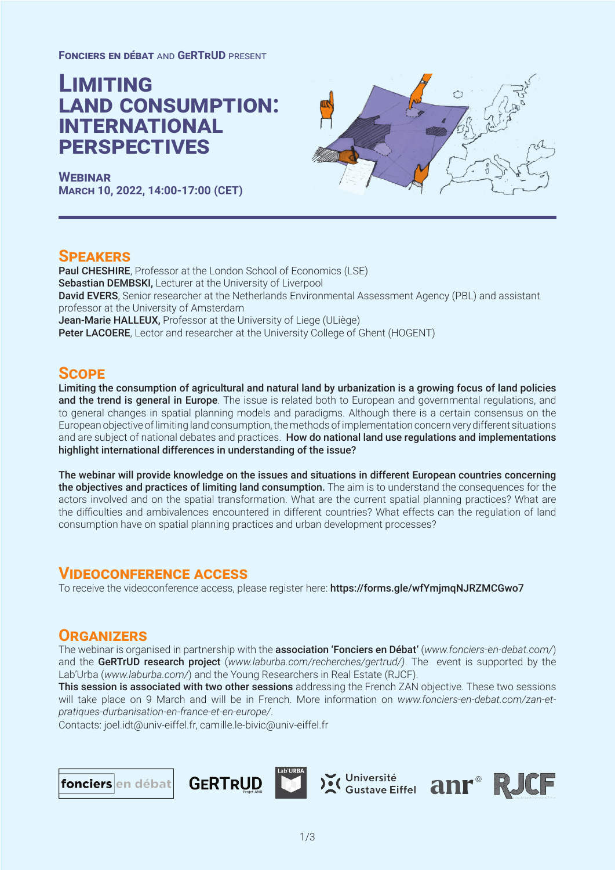**Fonciers en débat** and **GeRTrUD** present

# **Limiting land consumption: international perspectives**

**WEBINAR March 10, 2022, 14:00-17:00 (CET)**



## **Speakers**

Paul CHESHIRE, Professor at the London School of Economics (LSE) Sebastian DEMBSKI, Lecturer at the University of Liverpool David EVERS, Senior researcher at the Netherlands Environmental Assessment Agency (PBL) and assistant professor at the University of Amsterdam Jean-Marie HALLEUX, Professor at the University of Liege (ULiège) Peter LACOERE, Lector and researcher at the University College of Ghent (HOGENT)

## **Scope**

Limiting the consumption of agricultural and natural land by urbanization is a growing focus of land policies and the trend is general in Europe. The issue is related both to European and governmental regulations, and to general changes in spatial planning models and paradigms. Although there is a certain consensus on the European objective of limiting land consumption, the methods of implementation concern very different situations and are subject of national debates and practices. How do national land use regulations and implementations highlight international differences in understanding of the issue?

The webinar will provide knowledge on the issues and situations in different European countries concerning the objectives and practices of limiting land consumption. The aim is to understand the consequences for the actors involved and on the spatial transformation. What are the current spatial planning practices? What are the difficulties and ambivalences encountered in different countries? What effects can the regulation of land consumption have on spatial planning practices and urban development processes?

# **Videoconference access**

To receive the videoconference access, please register here: https://forms.gle/wfYmjmqNJRZMCGwo7

# **Organizers**

The webinar is organised in partnership with the association 'Fonciers en Débat' (*www.fonciers-en-debat.com/*) and the GeRTrUD research project (*www.laburba.com/recherches/gertrud/)*. The event is supported by the Lab'Urba (*www.laburba.com/*) and the Young Researchers in Real Estate (RJCF).

This session is associated with two other sessions addressing the French ZAN objective. These two sessions will take place on 9 March and will be in French. More information on *www.fonciers-en-debat.com/zan-etpratiques-durbanisation-en-france-et-en-europe/*.

Contacts: joel.idt@univ-eiffel.fr, camille.le-bivic@univ-eiffel.fr

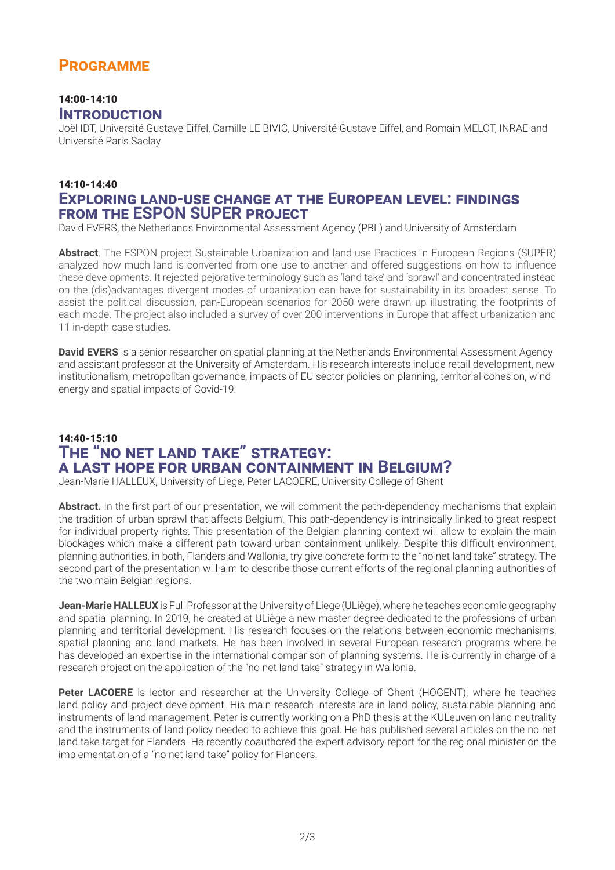# **Programme**

#### 14:00-14:10 **Introduction**

Joël IDT, Université Gustave Eiffel, Camille LE BIVIC, Université Gustave Eiffel, and Romain MELOT, INRAE and Université Paris Saclay

#### 14:10-14:40 **Exploring land-use change at the European level: findings from the ESPON SUPER project**

David EVERS, the Netherlands Environmental Assessment Agency (PBL) and University of Amsterdam

**Abstract**. The ESPON project Sustainable Urbanization and land-use Practices in European Regions (SUPER) analyzed how much land is converted from one use to another and offered suggestions on how to influence these developments. It rejected pejorative terminology such as 'land take' and 'sprawl' and concentrated instead on the (dis)advantages divergent modes of urbanization can have for sustainability in its broadest sense. To assist the political discussion, pan-European scenarios for 2050 were drawn up illustrating the footprints of each mode. The project also included a survey of over 200 interventions in Europe that affect urbanization and 11 in-depth case studies.

**David EVERS** is a senior researcher on spatial planning at the Netherlands Environmental Assessment Agency and assistant professor at the University of Amsterdam. His research interests include retail development, new institutionalism, metropolitan governance, impacts of EU sector policies on planning, territorial cohesion, wind energy and spatial impacts of Covid-19.

# 14:40-15:10 **The "no net land take" strategy: a last hope for urban containment in Belgium?**

Jean-Marie HALLEUX, University of Liege, Peter LACOERE, University College of Ghent

**Abstract.** In the first part of our presentation, we will comment the path-dependency mechanisms that explain the tradition of urban sprawl that affects Belgium. This path-dependency is intrinsically linked to great respect for individual property rights. This presentation of the Belgian planning context will allow to explain the main blockages which make a different path toward urban containment unlikely. Despite this difficult environment, planning authorities, in both, Flanders and Wallonia, try give concrete form to the "no net land take" strategy. The second part of the presentation will aim to describe those current efforts of the regional planning authorities of the two main Belgian regions.

**Jean-Marie HALLEUX** is Full Professor at the University of Liege (ULiège), where he teaches economic geography and spatial planning. In 2019, he created at ULiège a new master degree dedicated to the professions of urban planning and territorial development. His research focuses on the relations between economic mechanisms, spatial planning and land markets. He has been involved in several European research programs where he has developed an expertise in the international comparison of planning systems. He is currently in charge of a research project on the application of the "no net land take" strategy in Wallonia.

**Peter LACOERE** is lector and researcher at the University College of Ghent (HOGENT), where he teaches land policy and project development. His main research interests are in land policy, sustainable planning and instruments of land management. Peter is currently working on a PhD thesis at the KULeuven on land neutrality and the instruments of land policy needed to achieve this goal. He has published several articles on the no net land take target for Flanders. He recently coauthored the expert advisory report for the regional minister on the implementation of a "no net land take" policy for Flanders.